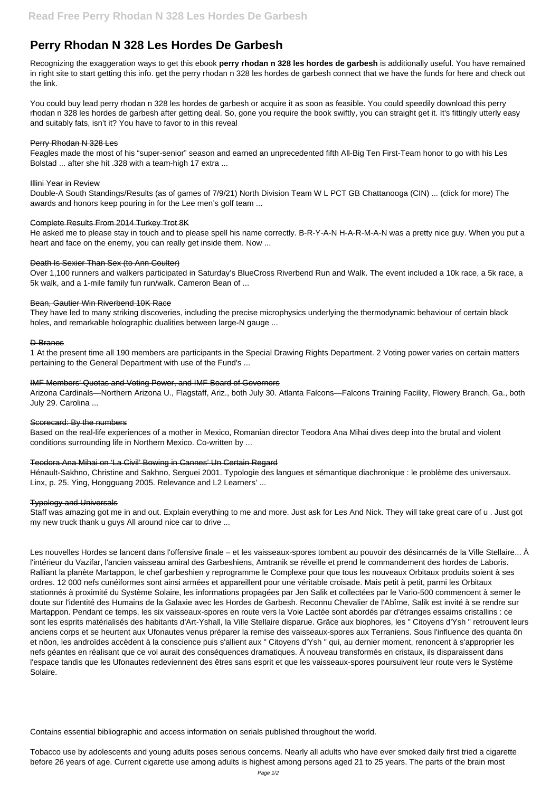# **Perry Rhodan N 328 Les Hordes De Garbesh**

Recognizing the exaggeration ways to get this ebook **perry rhodan n 328 les hordes de garbesh** is additionally useful. You have remained in right site to start getting this info. get the perry rhodan n 328 les hordes de garbesh connect that we have the funds for here and check out the link.

You could buy lead perry rhodan n 328 les hordes de garbesh or acquire it as soon as feasible. You could speedily download this perry rhodan n 328 les hordes de garbesh after getting deal. So, gone you require the book swiftly, you can straight get it. It's fittingly utterly easy and suitably fats, isn't it? You have to favor to in this reveal

#### Perry Rhodan N 328 Les

Feagles made the most of his "super-senior" season and earned an unprecedented fifth All-Big Ten First-Team honor to go with his Les Bolstad ... after she hit .328 with a team-high 17 extra ...

## Illini Year in Review

Double-A South Standings/Results (as of games of 7/9/21) North Division Team W L PCT GB Chattanooga (CIN) ... (click for more) The awards and honors keep pouring in for the Lee men's golf team ...

## Complete Results From 2014 Turkey Trot 8K

He asked me to please stay in touch and to please spell his name correctly. B-R-Y-A-N H-A-R-M-A-N was a pretty nice guy. When you put a heart and face on the enemy, you can really get inside them. Now ...

## Death Is Sexier Than Sex (to Ann Coulter)

Over 1,100 runners and walkers participated in Saturday's BlueCross Riverbend Run and Walk. The event included a 10k race, a 5k race, a 5k walk, and a 1-mile family fun run/walk. Cameron Bean of ...

#### Bean, Gautier Win Riverbend 10K Race

They have led to many striking discoveries, including the precise microphysics underlying the thermodynamic behaviour of certain black holes, and remarkable holographic dualities between large-N gauge ...

## D-Branes

1 At the present time all 190 members are participants in the Special Drawing Rights Department. 2 Voting power varies on certain matters pertaining to the General Department with use of the Fund's ...

## IMF Members' Quotas and Voting Power, and IMF Board of Governors

Arizona Cardinals—Northern Arizona U., Flagstaff, Ariz., both July 30. Atlanta Falcons—Falcons Training Facility, Flowery Branch, Ga., both July 29. Carolina ...

## Scorecard: By the numbers

Les nouvelles Hordes se lancent dans l'offensive finale – et les vaisseaux-spores tombent au pouvoir des désincarnés de la Ville Stellaire... À l'intérieur du Vazifar, l'ancien vaisseau amiral des Garbeshiens, Amtranik se réveille et prend le commandement des hordes de Laboris. Ralliant la planète Martappon, le chef garbeshien y reprogramme le Complexe pour que tous les nouveaux Orbitaux produits soient à ses ordres. 12 000 nefs cunéiformes sont ainsi armées et appareillent pour une véritable croisade. Mais petit à petit, parmi les Orbitaux stationnés à proximité du Système Solaire, les informations propagées par Jen Salik et collectées par le Vario-500 commencent à semer le doute sur l'identité des Humains de la Galaxie avec les Hordes de Garbesh. Reconnu Chevalier de l'Abîme, Salik est invité à se rendre sur Martappon. Pendant ce temps, les six vaisseaux-spores en route vers la Voie Lactée sont abordés par d'étranges essaims cristallins : ce sont les esprits matérialisés des habitants d'Art-Yshall, la Ville Stellaire disparue. Grâce aux biophores, les " Citoyens d'Ysh " retrouvent leurs anciens corps et se heurtent aux Ufonautes venus préparer la remise des vaisseaux-spores aux Terraniens. Sous l'influence des quanta ôn et nôon, les androïdes accèdent à la conscience puis s'allient aux " Citoyens d'Ysh " qui, au dernier moment, renoncent à s'approprier les nefs géantes en réalisant que ce vol aurait des conséquences dramatiques. À nouveau transformés en cristaux, ils disparaissent dans l'espace tandis que les Ufonautes redeviennent des êtres sans esprit et que les vaisseaux-spores poursuivent leur route vers le Système Solaire.

Based on the real-life experiences of a mother in Mexico, Romanian director Teodora Ana Mihai dives deep into the brutal and violent conditions surrounding life in Northern Mexico. Co-written by ...

## Teodora Ana Mihai on 'La Civil' Bowing in Cannes' Un Certain Regard

Hénault-Sakhno, Christine and Sakhno, Serguei 2001. Typologie des langues et sémantique diachronique : le problème des universaux. Linx, p. 25. Ying, Hongguang 2005. Relevance and L2 Learners' ...

## Typology and Universals

Staff was amazing got me in and out. Explain everything to me and more. Just ask for Les And Nick. They will take great care of u . Just got my new truck thank u guys All around nice car to drive ...

Contains essential bibliographic and access information on serials published throughout the world.

Tobacco use by adolescents and young adults poses serious concerns. Nearly all adults who have ever smoked daily first tried a cigarette before 26 years of age. Current cigarette use among adults is highest among persons aged 21 to 25 years. The parts of the brain most